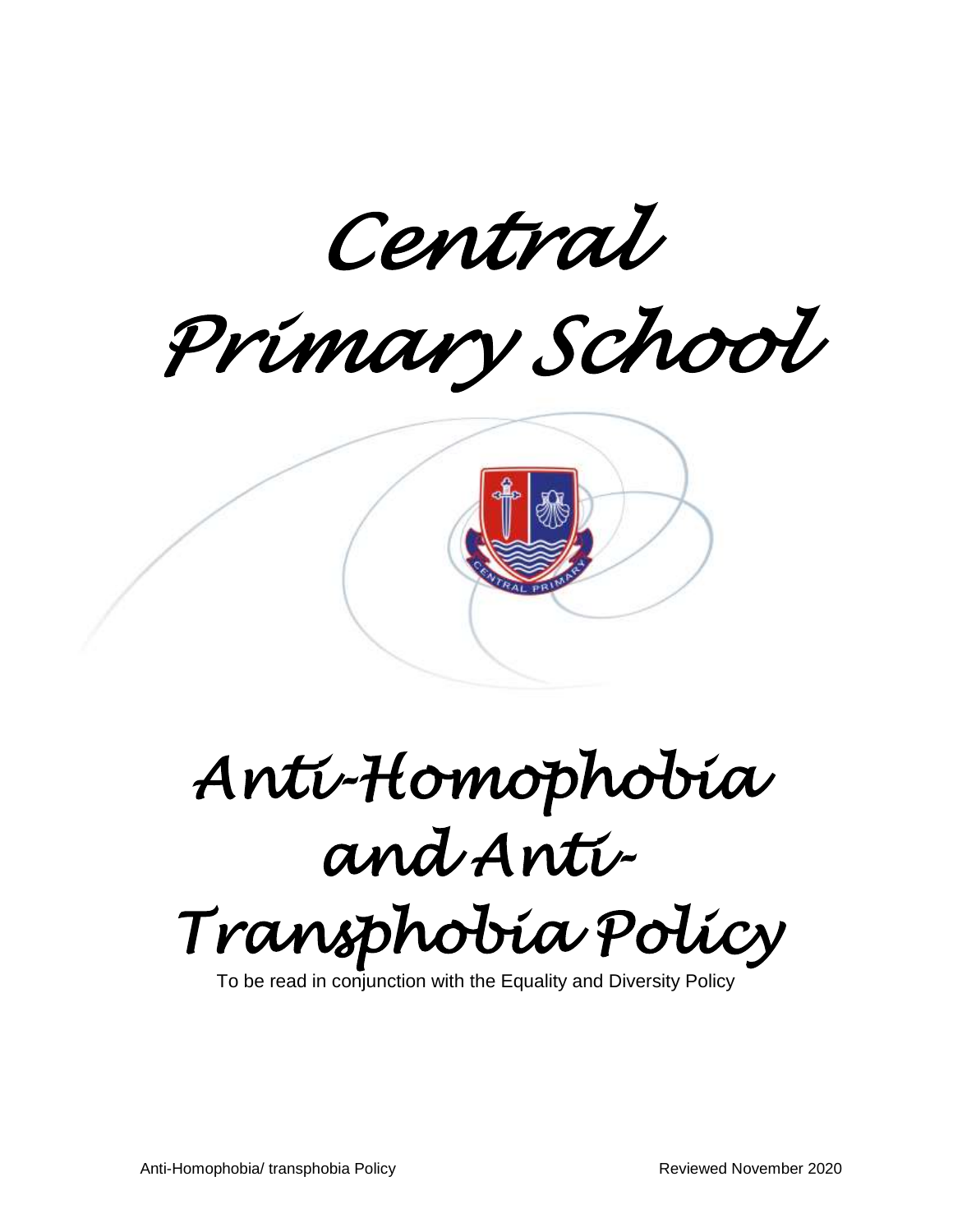

# *Anti-Homophobia and Anti-Transphobia Policy*

To be read in conjunction with the Equality and Diversity Policy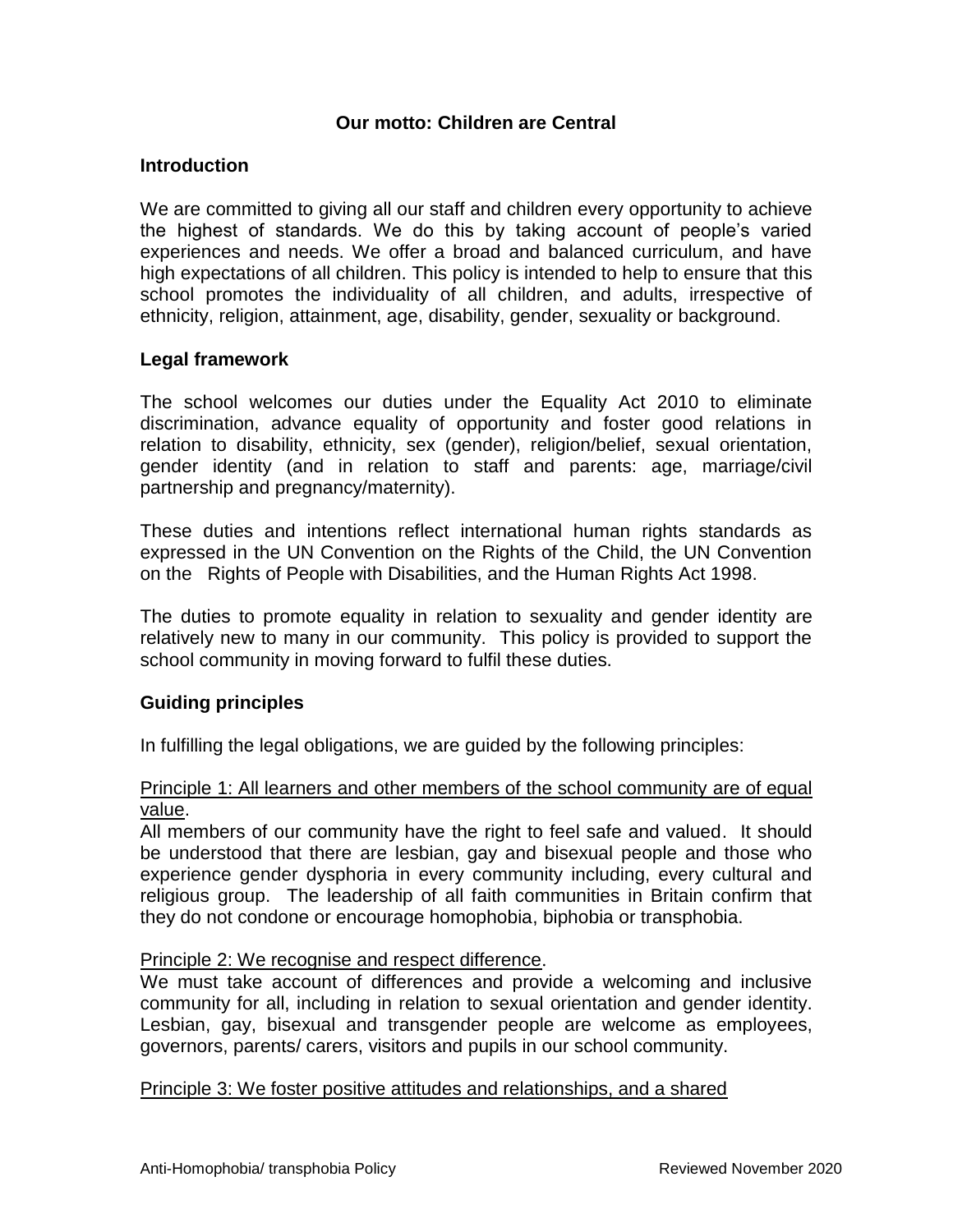# **Our motto: Children are Central**

## **Introduction**

We are committed to giving all our staff and children every opportunity to achieve the highest of standards. We do this by taking account of people's varied experiences and needs. We offer a broad and balanced curriculum, and have high expectations of all children. This policy is intended to help to ensure that this school promotes the individuality of all children, and adults, irrespective of ethnicity, religion, attainment, age, disability, gender, sexuality or background.

# **Legal framework**

The school welcomes our duties under the Equality Act 2010 to eliminate discrimination, advance equality of opportunity and foster good relations in relation to disability, ethnicity, sex (gender), religion/belief, sexual orientation, gender identity (and in relation to staff and parents: age, marriage/civil partnership and pregnancy/maternity).

These duties and intentions reflect international human rights standards as expressed in the UN Convention on the Rights of the Child, the UN Convention on the Rights of People with Disabilities, and the Human Rights Act 1998.

The duties to promote equality in relation to sexuality and gender identity are relatively new to many in our community. This policy is provided to support the school community in moving forward to fulfil these duties.

# **Guiding principles**

In fulfilling the legal obligations, we are guided by the following principles:

## Principle 1: All learners and other members of the school community are of equal value.

All members of our community have the right to feel safe and valued. It should be understood that there are lesbian, gay and bisexual people and those who experience gender dysphoria in every community including, every cultural and religious group. The leadership of all faith communities in Britain confirm that they do not condone or encourage homophobia, biphobia or transphobia.

#### Principle 2: We recognise and respect difference.

We must take account of differences and provide a welcoming and inclusive community for all, including in relation to sexual orientation and gender identity. Lesbian, gay, bisexual and transgender people are welcome as employees, governors, parents/ carers, visitors and pupils in our school community.

#### Principle 3: We foster positive attitudes and relationships, and a shared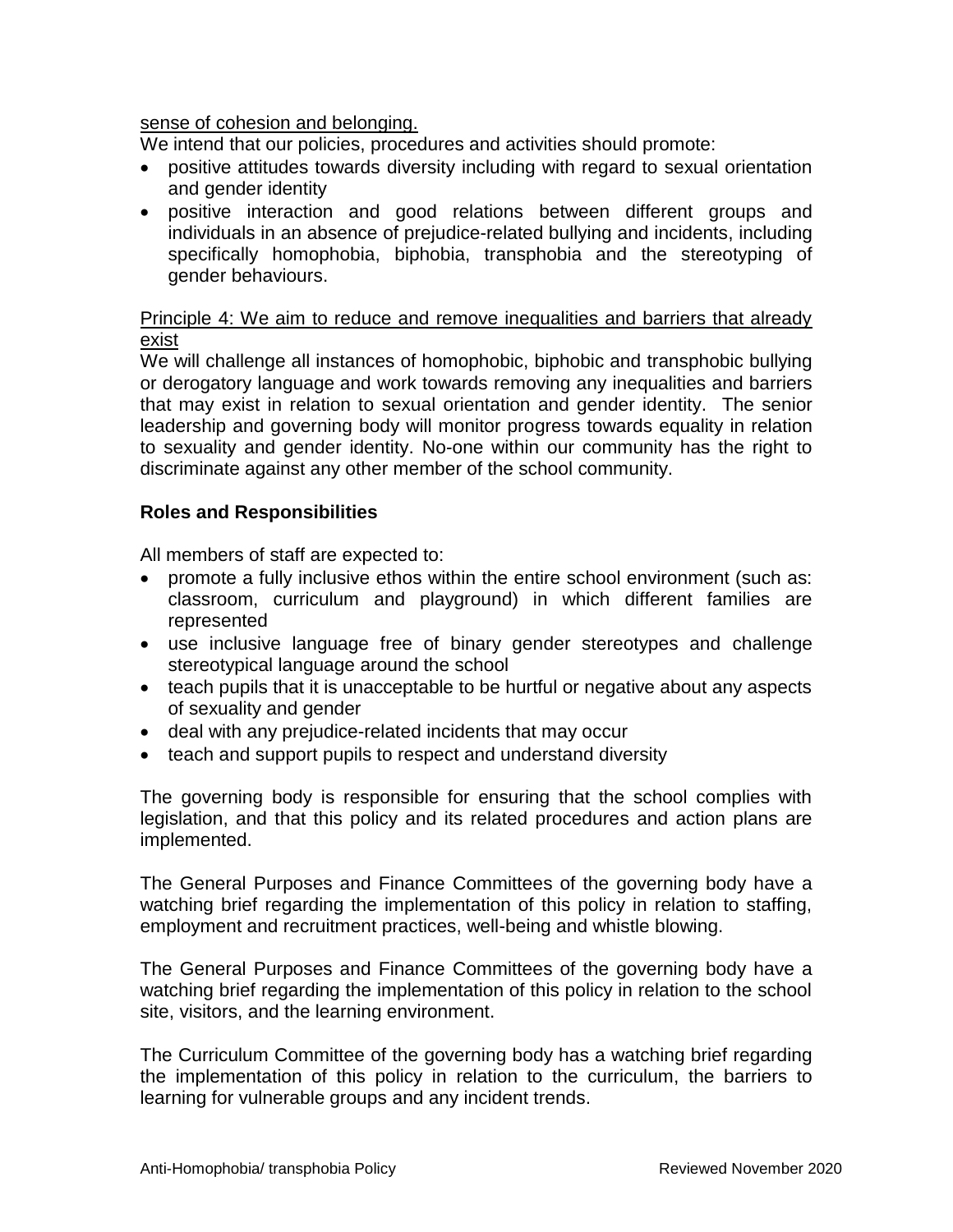## sense of cohesion and belonging.

We intend that our policies, procedures and activities should promote:

- positive attitudes towards diversity including with regard to sexual orientation and gender identity
- positive interaction and good relations between different groups and individuals in an absence of prejudice-related bullying and incidents, including specifically homophobia, biphobia, transphobia and the stereotyping of gender behaviours.

## Principle 4: We aim to reduce and remove inequalities and barriers that already exist

We will challenge all instances of homophobic, biphobic and transphobic bullying or derogatory language and work towards removing any inequalities and barriers that may exist in relation to sexual orientation and gender identity. The senior leadership and governing body will monitor progress towards equality in relation to sexuality and gender identity. No-one within our community has the right to discriminate against any other member of the school community.

# **Roles and Responsibilities**

All members of staff are expected to:

- promote a fully inclusive ethos within the entire school environment (such as: classroom, curriculum and playground) in which different families are represented
- use inclusive language free of binary gender stereotypes and challenge stereotypical language around the school
- teach pupils that it is unacceptable to be hurtful or negative about any aspects of sexuality and gender
- deal with any prejudice-related incidents that may occur
- teach and support pupils to respect and understand diversity

The governing body is responsible for ensuring that the school complies with legislation, and that this policy and its related procedures and action plans are implemented.

The General Purposes and Finance Committees of the governing body have a watching brief regarding the implementation of this policy in relation to staffing, employment and recruitment practices, well-being and whistle blowing.

The General Purposes and Finance Committees of the governing body have a watching brief regarding the implementation of this policy in relation to the school site, visitors, and the learning environment.

The Curriculum Committee of the governing body has a watching brief regarding the implementation of this policy in relation to the curriculum, the barriers to learning for vulnerable groups and any incident trends.